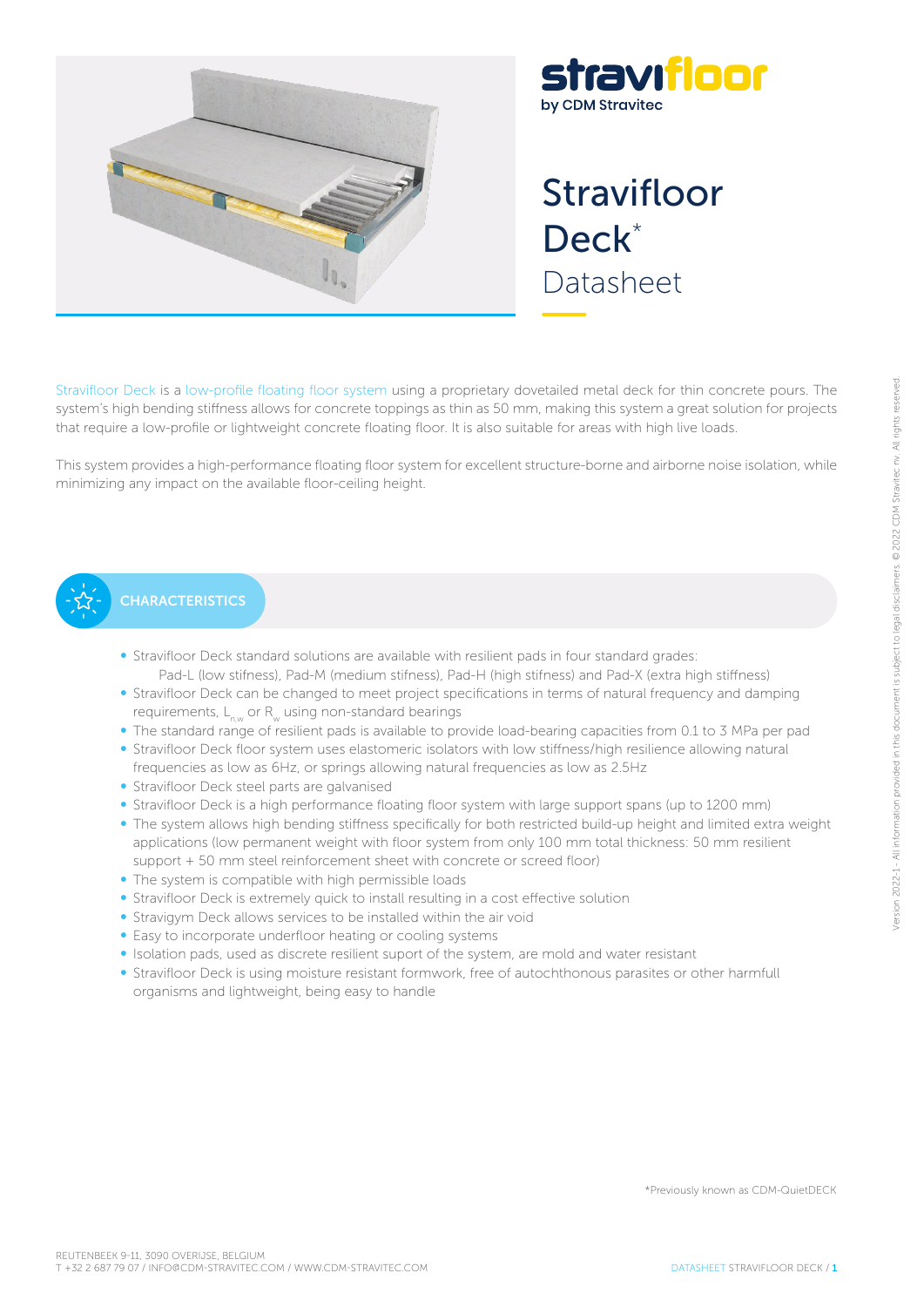

# stravıfloor by CDM Stravitec

# Stravifloor Deck<sup>\*</sup> Datasheet

Stravifloor Deck is a low-profile floating floor system using a proprietary dovetailed metal deck for thin concrete pours. The system's high bending stiffness allows for concrete toppings as thin as 50 mm, making this system a great solution for projects that require a low-profile or lightweight concrete floating floor. It is also suitable for areas with high live loads.

This system provides a high-performance floating floor system for excellent structure-borne and airborne noise isolation, while minimizing any impact on the available floor-ceiling height.



# **CHARACTERISTICS**

- Stravifloor Deck standard solutions are available with resilient pads in four standard grades: Pad-L (low stifness), Pad-M (medium stifness), Pad-H (high stifness) and Pad-X (extra high stiffness)
- Stravifloor Deck can be changed to meet project specifications in terms of natural frequency and damping requirements,  $L_{\text{max}}$  or R<sub>w</sub> using non-standard bearings
- The standard range of resilient pads is available to provide load-bearing capacities from 0.1 to 3 MPa per pad
- Stravifloor Deck floor system uses elastomeric isolators with low stiffness/high resilience allowing natural frequencies as low as 6Hz, or springs allowing natural frequencies as low as 2.5Hz
- Stravifloor Deck steel parts are galvanised
- Stravifloor Deck is a high performance floating floor system with large support spans (up to 1200 mm)
- The system allows high bending stiffness specifically for both restricted build-up height and limited extra weight applications (low permanent weight with floor system from only 100 mm total thickness: 50 mm resilient support + 50 mm steel reinforcement sheet with concrete or screed floor)
- The system is compatible with high permissible loads
- Stravifloor Deck is extremely quick to install resulting in a cost effective solution
- Stravigym Deck allows services to be installed within the air void
- Easy to incorporate underfloor heating or cooling systems
- Isolation pads, used as discrete resilient suport of the system, are mold and water resistant
- Stravifloor Deck is using moisture resistant formwork, free of autochthonous parasites or other harmfull organisms and lightweight, being easy to handle

\*Previously known as CDM-QuietDECK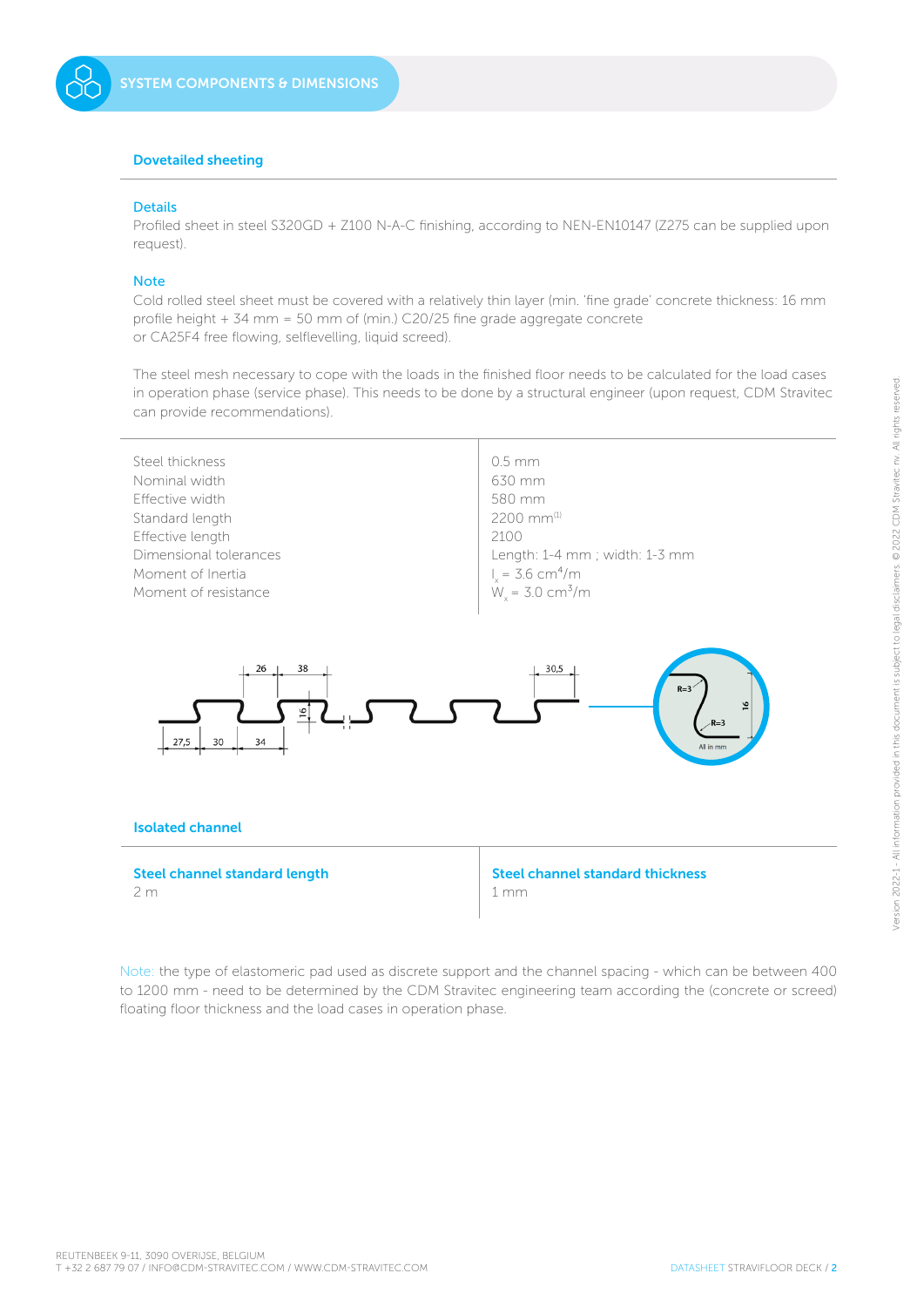# Dovetailed sheeting

### **Details**

Profiled sheet in steel S320GD + Z100 N-A-C finishing, according to NEN-EN10147 (Z275 can be supplied upon request).

#### **Note**

Cold rolled steel sheet must be covered with a relatively thin layer (min. 'fine grade' concrete thickness: 16 mm profile height + 34 mm = 50 mm of (min.) C20/25 fine grade aggregate concrete or CA25F4 free flowing, selflevelling, liquid screed).

The steel mesh necessary to cope with the loads in the finished floor needs to be calculated for the load cases in operation phase (service phase). This needs to be done by a structural engineer (upon request, CDM Stravitec can provide recommendations).



Note: the type of elastomeric pad used as discrete support and the channel spacing - which can be between 400 to 1200 mm - need to be determined by the CDM Stravitec engineering team according the (concrete or screed) floating floor thickness and the load cases in operation phase.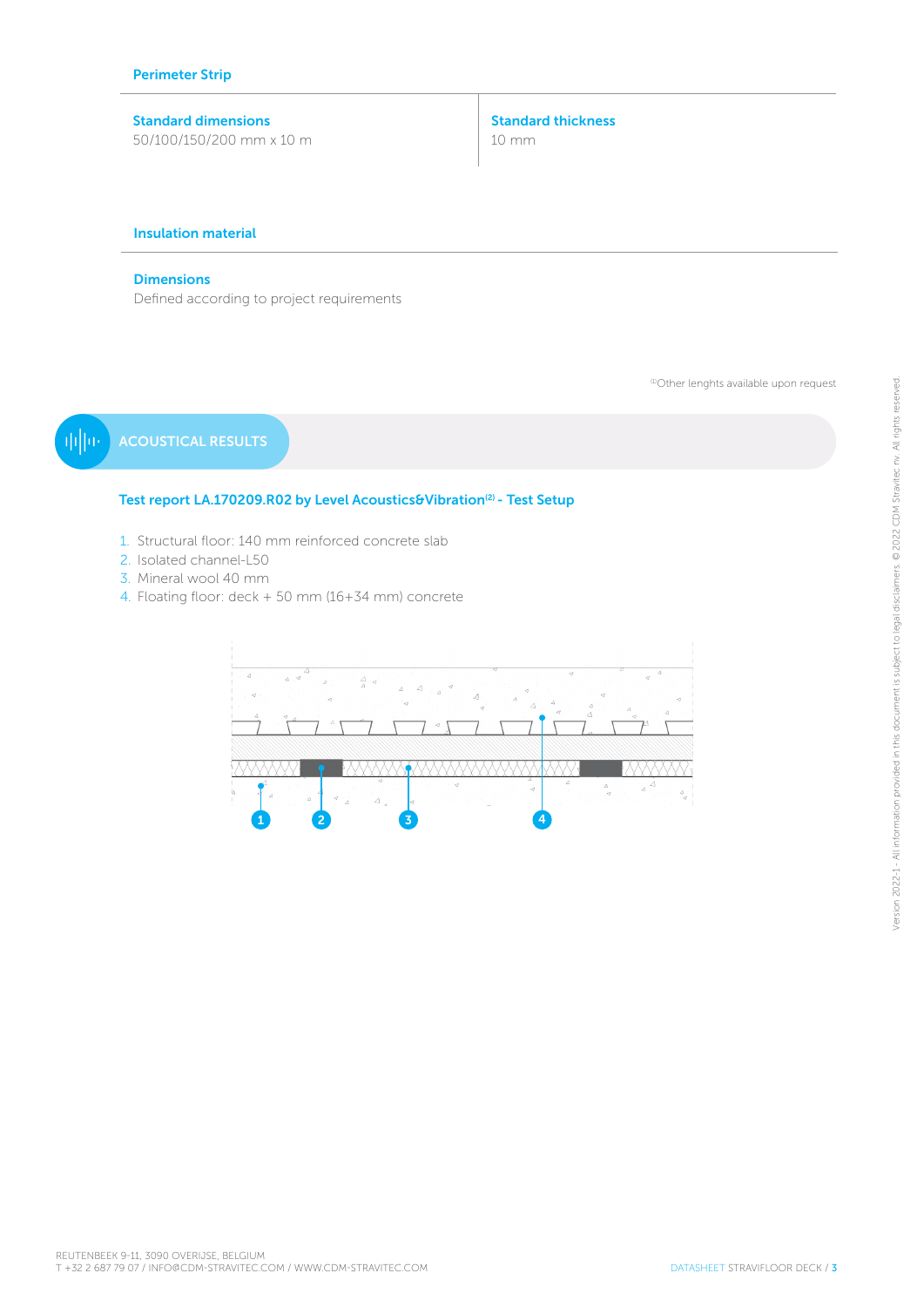# Standard dimensions 50/100/150/200 mm x 10 m

Standard thickness 10 mm

# Insulation material

## **Dimensions**

Defined according to project requirements

(1)Other lenghts available upon request

ACOUSTICAL RESULTS 电回应

# Test report LA.170209.R02 by Level Acoustics&Vibration<sup>(2)</sup> - Test Setup

- 1. Structural floor: 140 mm reinforced concrete slab
- 2. Isolated channel-L50
- 3. Mineral wool 40 mm
- 4. Floating floor: deck + 50 mm (16+34 mm) concrete

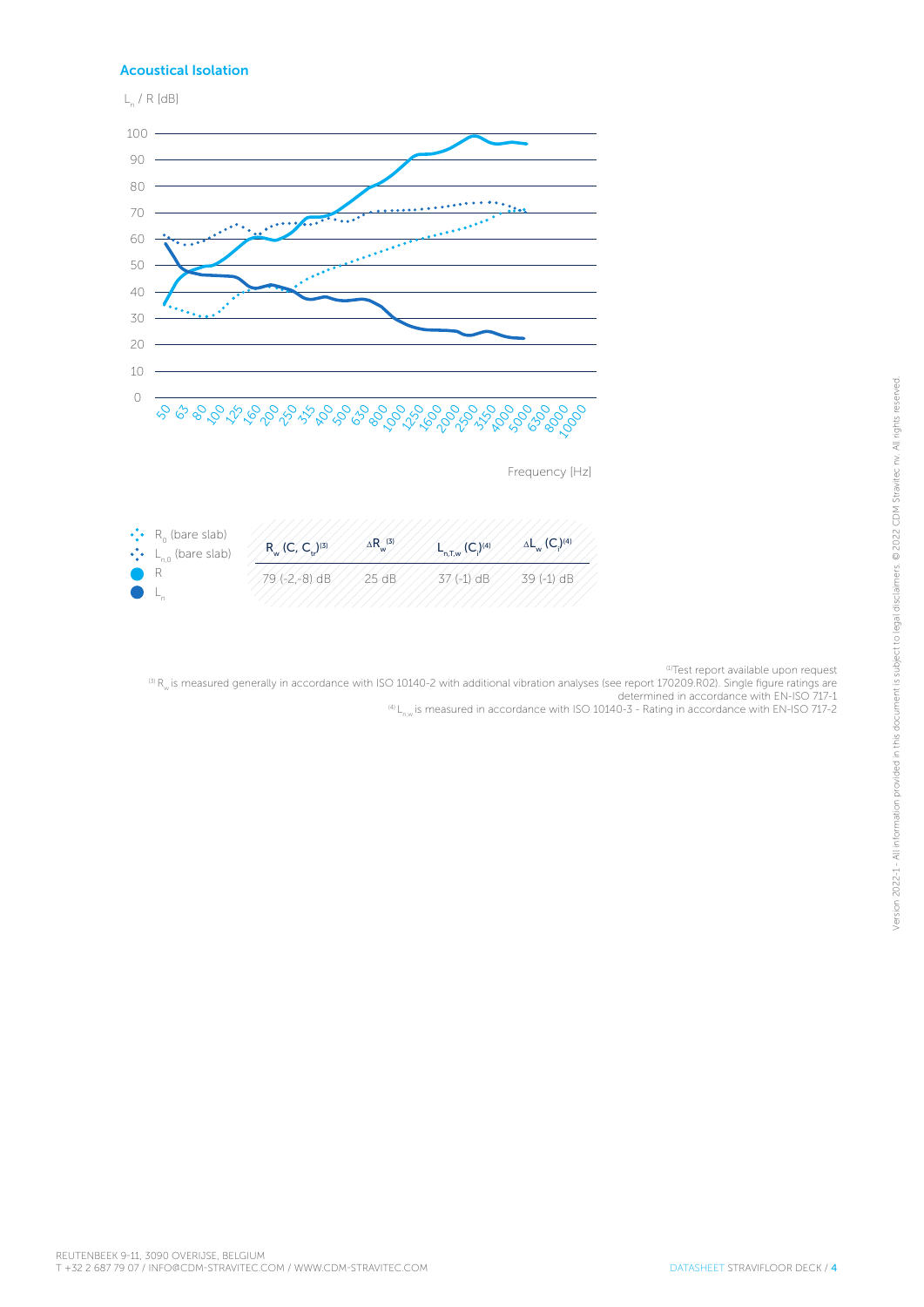# Acoustical Isolation



<sup>(1)</sup>Test report available upon request

 $^{(3)}$  R<sub>w</sub> is measured generally in accordance with ISO 10140-2 with additional vibration analyses (see report 170209.R02). Single figure ratings are<br>determined in accordance with EN-ISO 717-1

 $^{(4)}$  L<sub>nw</sub> is measured in accordance with ISO 10140-3 - Rating in accordance with EN-ISO 717-2